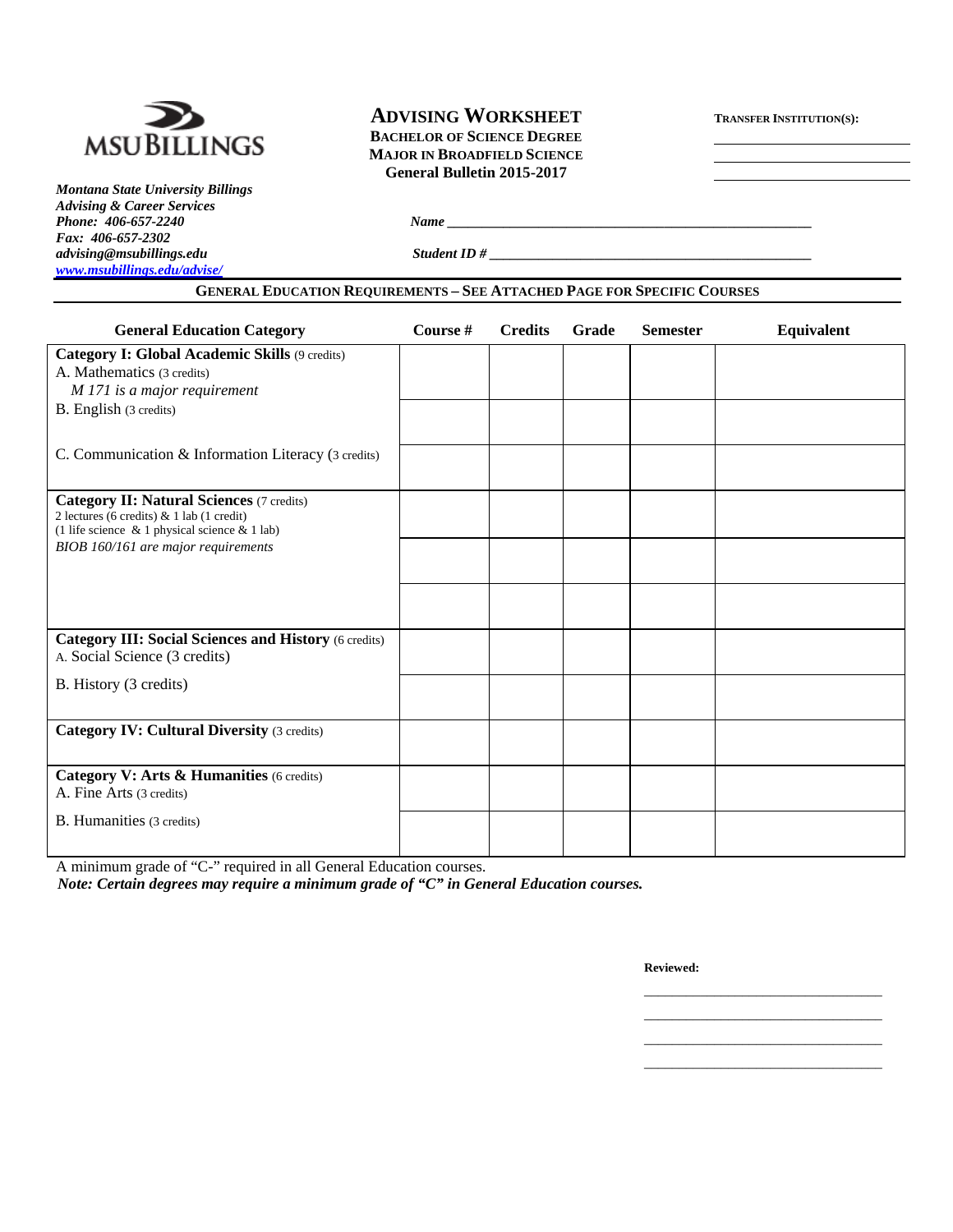

# *Montana State University Billings Advising & Career Services Fax: 406-657-2302 advising@msubillings.edu Student ID # \_\_\_\_\_\_\_\_\_\_\_\_\_\_\_\_\_\_\_\_\_\_\_\_\_\_\_\_\_\_\_\_\_\_\_\_\_\_\_\_\_\_\_\_\_\_ www.msubillings.edu/advise/*

# **ADVISING WORKSHEET TRANSFER INSTITUTION(S):**

**MSUBILLINGS** BACHELOR OF SCIENCE DEGREE **MAJOR IN BROADFIELD SCIENCE General Bulletin 2015-2017** 

**GENERAL EDUCATION REQUIREMENTS – SEE ATTACHED PAGE FOR SPECIFIC COURSES**

*Phone: 406-657-2240 Name*  $\frac{1}{2}$  *Phone: 406-657-2240 Name*  $\frac{1}{2}$  *Phone: 406-657-2240 Name*  $\frac{1}{2}$  *Phone: 406-657-2440 Name*  $\frac{1}{2}$  *Phone: 406-657-2440 Name*  $\frac{1}{2}$  *Phone: 406-657-2440 Name*  $\frac{1}{2}$ 

| <b>General Education Category</b>                                                                                                              | Course # | <b>Credits</b> | Grade | <b>Semester</b> | Equivalent |
|------------------------------------------------------------------------------------------------------------------------------------------------|----------|----------------|-------|-----------------|------------|
| <b>Category I: Global Academic Skills (9 credits)</b><br>A. Mathematics (3 credits)<br>M 171 is a major requirement                            |          |                |       |                 |            |
| B. English (3 credits)                                                                                                                         |          |                |       |                 |            |
| C. Communication & Information Literacy (3 credits)                                                                                            |          |                |       |                 |            |
| <b>Category II: Natural Sciences (7 credits)</b><br>2 lectures (6 credits) & 1 lab (1 credit)<br>(1 life science & 1 physical science & 1 lab) |          |                |       |                 |            |
| BIOB 160/161 are major requirements                                                                                                            |          |                |       |                 |            |
|                                                                                                                                                |          |                |       |                 |            |
| <b>Category III: Social Sciences and History (6 credits)</b><br>A. Social Science (3 credits)                                                  |          |                |       |                 |            |
| B. History (3 credits)                                                                                                                         |          |                |       |                 |            |
| <b>Category IV: Cultural Diversity (3 credits)</b>                                                                                             |          |                |       |                 |            |
| Category V: Arts & Humanities (6 credits)<br>A. Fine Arts (3 credits)                                                                          |          |                |       |                 |            |
| B. Humanities (3 credits)                                                                                                                      |          |                |       |                 |            |

 $\mathcal{L}_\text{max}$  , and the contract of the contract of the contract of the contract of the contract of the contract of the contract of the contract of the contract of the contract of the contract of the contract of the contr  $\mathcal{L}_\text{max}$  , and the contract of the contract of the contract of the contract of the contract of the contract of the contract of the contract of the contract of the contract of the contract of the contract of the contr  $\mathcal{L}_\text{max}$  , and the contract of the contract of the contract of the contract of the contract of the contract of the contract of the contract of the contract of the contract of the contract of the contract of the contr  $\mathcal{L}_\text{max}$  , and the contract of the contract of the contract of the contract of the contract of the contract of the contract of the contract of the contract of the contract of the contract of the contract of the contr

A minimum grade of "C-" required in all General Education courses.

*Note: Certain degrees may require a minimum grade of "C" in General Education courses.* 

**Reviewed:**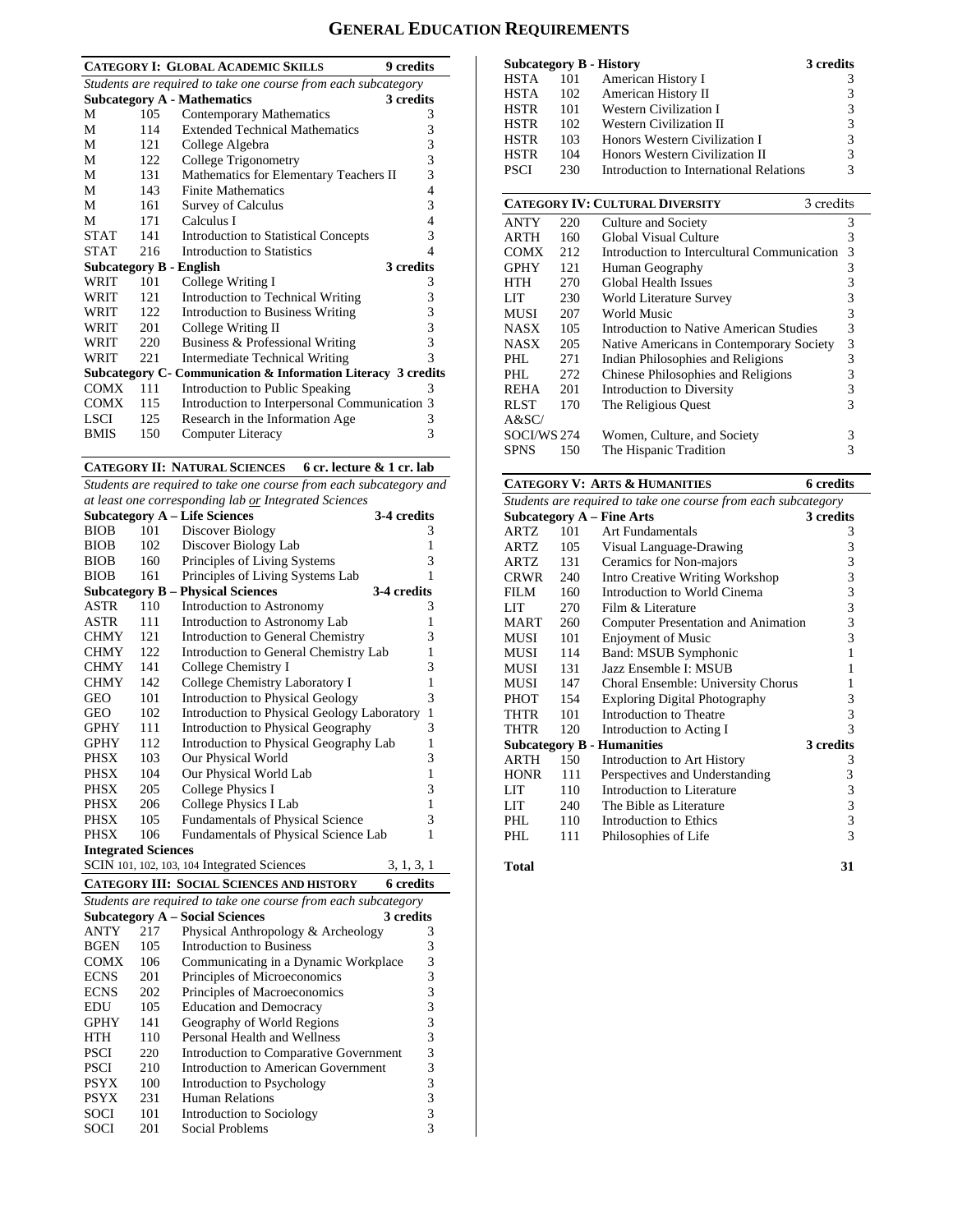# **GENERAL EDUCATION REQUIREMENTS**

| <b>CATEGORY I: GLOBAL ACADEMIC SKILLS</b><br>9 credits         |      |                                                               |   |  |  |  |
|----------------------------------------------------------------|------|---------------------------------------------------------------|---|--|--|--|
|                                                                |      |                                                               |   |  |  |  |
| Students are required to take one course from each subcategory |      |                                                               |   |  |  |  |
|                                                                |      | <b>Subcategory A - Mathematics</b><br>3 credits               |   |  |  |  |
| М                                                              | 105  | <b>Contemporary Mathematics</b>                               | 3 |  |  |  |
| М                                                              | 114  | <b>Extended Technical Mathematics</b>                         | 3 |  |  |  |
| М                                                              | 121  | College Algebra                                               | 3 |  |  |  |
| М                                                              | 122  | College Trigonometry                                          | 3 |  |  |  |
| М                                                              | 131  | Mathematics for Elementary Teachers II                        | 3 |  |  |  |
| М                                                              | 143  | <b>Finite Mathematics</b>                                     | 4 |  |  |  |
| М                                                              | 161  | <b>Survey of Calculus</b>                                     | 3 |  |  |  |
| М                                                              | 171  | Calculus I                                                    | 4 |  |  |  |
| <b>STAT</b>                                                    | 141  | <b>Introduction to Statistical Concepts</b>                   | 3 |  |  |  |
| <b>STAT</b>                                                    | 216  | Introduction to Statistics                                    | 4 |  |  |  |
|                                                                |      | 3 credits<br>Subcategory B - English                          |   |  |  |  |
| WRIT                                                           | 101  | College Writing I                                             | 3 |  |  |  |
| WRIT                                                           | 121  | Introduction to Technical Writing                             | 3 |  |  |  |
| WRIT                                                           | 122. | <b>Introduction to Business Writing</b>                       | 3 |  |  |  |
| WRIT                                                           | 201  | College Writing II                                            | 3 |  |  |  |
| WRIT                                                           | 220  | Business & Professional Writing                               | 3 |  |  |  |
| WRIT                                                           | 221  | Intermediate Technical Writing                                | 3 |  |  |  |
|                                                                |      | Subcategory C- Communication & Information Literacy 3 credits |   |  |  |  |
| <b>COMX</b>                                                    | 111  | Introduction to Public Speaking                               | 3 |  |  |  |
| <b>COMX</b>                                                    | 115  | Introduction to Interpersonal Communication 3                 |   |  |  |  |
| LSCI.                                                          | 125  | Research in the Information Age                               | 3 |  |  |  |
| <b>BMIS</b>                                                    | 150  | Computer Literacy                                             | 3 |  |  |  |

### **CATEGORY II: NATURAL SCIENCES 6 cr. lecture & 1 cr. lab**

*Students are required to take one course from each subcategory and at least one corresponding lab or Integrated Sciences* 

|                            |     | <b>Subcategory A - Life Sciences</b>        | 3-4 credits  |
|----------------------------|-----|---------------------------------------------|--------------|
| <b>BIOB</b>                | 101 | Discover Biology                            | 3            |
| <b>BIOB</b>                | 102 | Discover Biology Lab                        | 1            |
| <b>BIOB</b>                | 160 | Principles of Living Systems                | 3            |
| <b>BIOB</b>                | 161 | Principles of Living Systems Lab            | 1            |
|                            |     | <b>Subcategory B – Physical Sciences</b>    | 3-4 credits  |
| ASTR                       | 110 | Introduction to Astronomy                   | 3            |
| ASTR                       | 111 | Introduction to Astronomy Lab               | 1            |
| <b>CHMY</b>                | 121 | Introduction to General Chemistry           | 3            |
| <b>CHMY</b>                | 122 | Introduction to General Chemistry Lab       | 1            |
| <b>CHMY</b>                | 141 | College Chemistry I                         | 3            |
| <b>CHMY</b>                | 142 | College Chemistry Laboratory I              | $\mathbf{1}$ |
| GEO                        | 101 | <b>Introduction to Physical Geology</b>     | 3            |
| GEO                        | 102 | Introduction to Physical Geology Laboratory | $\mathbf{1}$ |
| <b>GPHY</b>                | 111 | Introduction to Physical Geography          | 3            |
| <b>GPHY</b>                | 112 | Introduction to Physical Geography Lab      | 1            |
| PHSX                       | 103 | Our Physical World                          | 3            |
| PHSX                       | 104 | Our Physical World Lab                      | 1            |
| PHSX                       | 205 | College Physics I                           | 3            |
| PHSX                       | 206 | College Physics I Lab                       | $\mathbf{1}$ |
| PHSX                       | 105 | <b>Fundamentals of Physical Science</b>     | 3            |
| PHSX                       | 106 | Fundamentals of Physical Science Lab        | 1            |
| <b>Integrated Sciences</b> |     |                                             |              |
|                            |     | SCIN 101, 102, 103, 104 Integrated Sciences | 3, 1, 3, 1   |

**CATEGORY III: SOCIAL SCIENCES AND HISTORY 6 credits** 

| Students are required to take one course from each subcategory |     |                                        |           |  |  |
|----------------------------------------------------------------|-----|----------------------------------------|-----------|--|--|
|                                                                |     | <b>Subcategory A – Social Sciences</b> | 3 credits |  |  |
| <b>ANTY</b>                                                    | 217 | Physical Anthropology & Archeology     | 3         |  |  |
| <b>BGEN</b>                                                    | 105 | <b>Introduction to Business</b>        | 3         |  |  |
| <b>COMX</b>                                                    | 106 | Communicating in a Dynamic Workplace   | 3         |  |  |
| <b>ECNS</b>                                                    | 201 | Principles of Microeconomics           | 3         |  |  |
| <b>ECNS</b>                                                    | 202 | Principles of Macroeconomics           | 3         |  |  |
| EDU                                                            | 105 | <b>Education and Democracy</b>         | 3         |  |  |
| <b>GPHY</b>                                                    | 141 | Geography of World Regions             | 3         |  |  |
| HTH                                                            | 110 | Personal Health and Wellness           | 3         |  |  |
| <b>PSCI</b>                                                    | 220 | Introduction to Comparative Government | 3         |  |  |
| <b>PSCI</b>                                                    | 210 | Introduction to American Government    | 3         |  |  |
| <b>PSYX</b>                                                    | 100 | Introduction to Psychology             | 3         |  |  |
| <b>PSYX</b>                                                    | 231 | Human Relations                        | 3         |  |  |
| <b>SOCI</b>                                                    | 101 | Introduction to Sociology              | 3         |  |  |
| SOCI                                                           | 201 | Social Problems                        | 3         |  |  |

| <b>Subcategory B - History</b> |     |                                         | 3 credits     |
|--------------------------------|-----|-----------------------------------------|---------------|
| <b>HSTA</b>                    | 101 | American History I                      | 3             |
| <b>HSTA</b>                    | 102 | American History II                     | 3             |
| <b>HSTR</b>                    | 101 | <b>Western Civilization I</b>           | $\mathcal{R}$ |
| <b>HSTR</b>                    | 102 | <b>Western Civilization II</b>          | 3             |
| <b>HSTR</b>                    | 103 | Honors Western Civilization I           | 3             |
| <b>HSTR</b>                    | 104 | Honors Western Civilization II          | 3             |
| <b>PSCI</b>                    | 230 | Introduction to International Relations | 3             |

|             | <b>CATEGORY IV: CULTURAL DIVERSITY</b><br>3 credits |                                             |   |  |  |  |
|-------------|-----------------------------------------------------|---------------------------------------------|---|--|--|--|
| <b>ANTY</b> | 220                                                 | Culture and Society                         | 3 |  |  |  |
| <b>ARTH</b> | 160                                                 | Global Visual Culture                       | 3 |  |  |  |
| <b>COMX</b> | 212                                                 | Introduction to Intercultural Communication | 3 |  |  |  |
| <b>GPHY</b> | 121                                                 | Human Geography                             | 3 |  |  |  |
| HTH         | 270                                                 | Global Health Issues                        | 3 |  |  |  |
| LIT         | 230                                                 | World Literature Survey                     | 3 |  |  |  |
| <b>MUSI</b> | 207                                                 | World Music                                 | 3 |  |  |  |
| <b>NASX</b> | 105                                                 | Introduction to Native American Studies     | 3 |  |  |  |
| <b>NASX</b> | 205                                                 | Native Americans in Contemporary Society    | 3 |  |  |  |
| PHL.        | 271                                                 | Indian Philosophies and Religions           | 3 |  |  |  |
| PHL         | 272                                                 | Chinese Philosophies and Religions          | 3 |  |  |  |
| <b>REHA</b> | 201                                                 | Introduction to Diversity                   | 3 |  |  |  |
| <b>RLST</b> | 170                                                 | The Religious Quest                         | 3 |  |  |  |
| A&SC/       |                                                     |                                             |   |  |  |  |
| SOCI/WS 274 |                                                     | Women, Culture, and Society                 | 3 |  |  |  |
| <b>SPNS</b> | 150                                                 | The Hispanic Tradition                      | 3 |  |  |  |

#### **CATEGORY V: ARTS & HUMANITIES 6 credits**

|             |     | Students are required to take one course from each subcategory |              |
|-------------|-----|----------------------------------------------------------------|--------------|
|             |     | <b>Subcategory A – Fine Arts</b>                               | 3 credits    |
| ARTZ        | 101 | <b>Art Fundamentals</b>                                        | 3            |
| ARTZ        | 105 | Visual Language-Drawing                                        | 3            |
| ARTZ        | 131 | Ceramics for Non-majors                                        | 3            |
| <b>CRWR</b> | 240 | Intro Creative Writing Workshop                                | 3            |
| FILM        | 160 | Introduction to World Cinema                                   | 3            |
| LIT         | 270 | Film & Literature                                              | 3            |
| <b>MART</b> | 260 | <b>Computer Presentation and Animation</b>                     | 3            |
| <b>MUSI</b> | 101 | <b>Enjoyment of Music</b>                                      | 3            |
| MUSI        | 114 | Band: MSUB Symphonic                                           | $\mathbf{1}$ |
| MUSI        | 131 | Jazz Ensemble I: MSUB                                          | 1            |
| MUSI        | 147 | Choral Ensemble: University Chorus                             | 1            |
| <b>PHOT</b> | 154 | <b>Exploring Digital Photography</b>                           | 3            |
| THTR        | 101 | Introduction to Theatre                                        | 3            |
| THTR        | 120 | Introduction to Acting I                                       | 3            |
|             |     | <b>Subcategory B - Humanities</b>                              | 3 credits    |
| ARTH        | 150 | Introduction to Art History                                    | 3            |
| <b>HONR</b> | 111 | Perspectives and Understanding                                 | 3            |
| LIT         | 110 | Introduction to Literature                                     | 3            |
| LIT         | 240 | The Bible as Literature                                        | 3            |
| PHI.        | 110 | Introduction to Ethics                                         | 3            |
| PHL         | 111 | Philosophies of Life                                           | 3            |
| Total       |     |                                                                | 31           |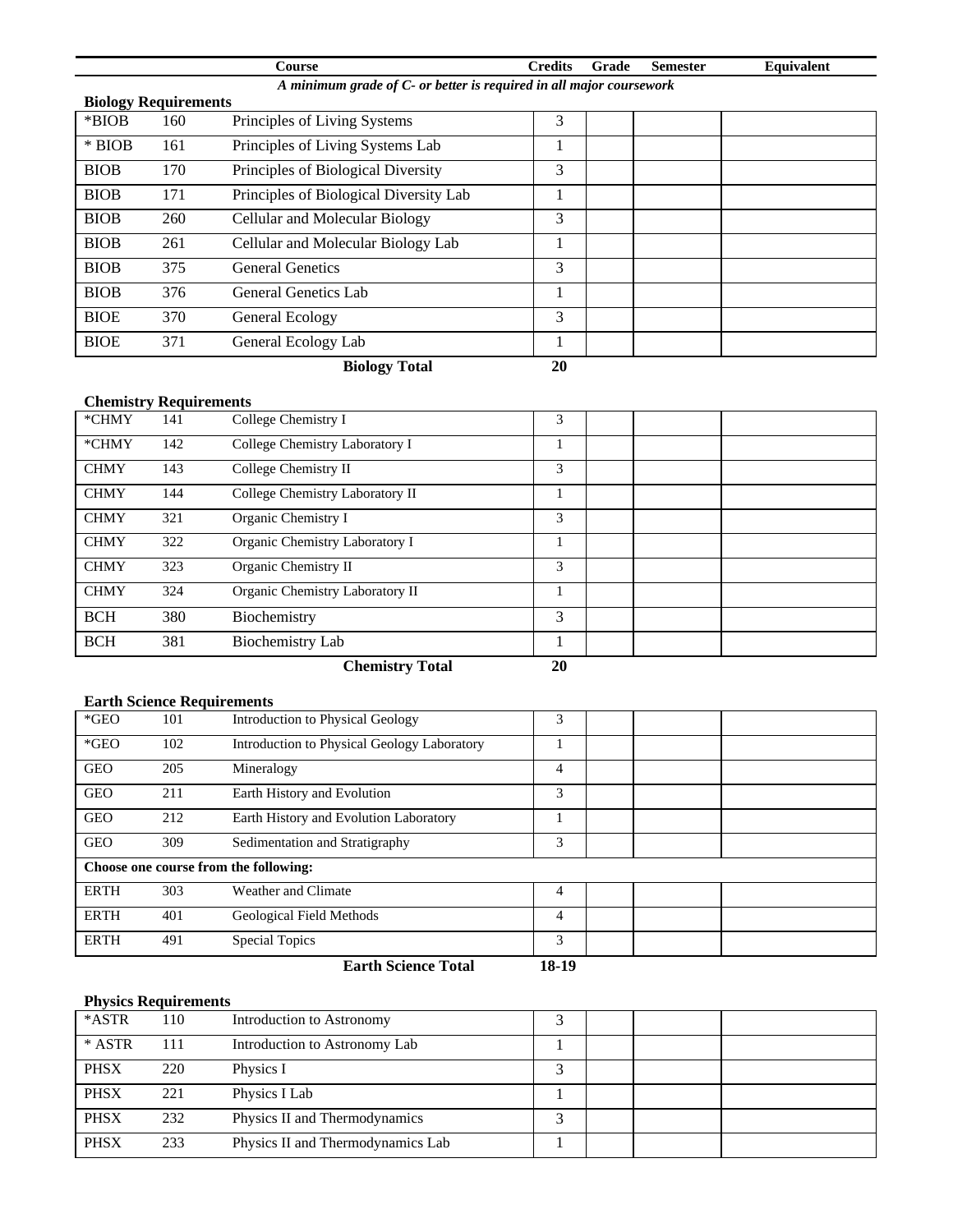|                             |                                                                     | <b>Course</b>                          | <b>Credits</b> | Grade | <b>Semester</b> | Equivalent |  |  |  |
|-----------------------------|---------------------------------------------------------------------|----------------------------------------|----------------|-------|-----------------|------------|--|--|--|
|                             | A minimum grade of C- or better is required in all major coursework |                                        |                |       |                 |            |  |  |  |
| <b>Biology Requirements</b> |                                                                     |                                        |                |       |                 |            |  |  |  |
| $*$ BIOB                    | 160                                                                 | Principles of Living Systems           | 3              |       |                 |            |  |  |  |
| $*$ BIOB                    | 161                                                                 | Principles of Living Systems Lab       |                |       |                 |            |  |  |  |
| <b>BIOB</b>                 | 170                                                                 | Principles of Biological Diversity     | 3              |       |                 |            |  |  |  |
| <b>BIOB</b>                 | 171                                                                 | Principles of Biological Diversity Lab |                |       |                 |            |  |  |  |
| <b>BIOB</b>                 | 260                                                                 | Cellular and Molecular Biology         | 3              |       |                 |            |  |  |  |
| <b>BIOB</b>                 | 261                                                                 | Cellular and Molecular Biology Lab     |                |       |                 |            |  |  |  |
| <b>BIOB</b>                 | 375                                                                 | <b>General Genetics</b>                | 3              |       |                 |            |  |  |  |
| <b>BIOB</b>                 | 376                                                                 | General Genetics Lab                   |                |       |                 |            |  |  |  |
| <b>BIOE</b>                 | 370                                                                 | General Ecology                        | 3              |       |                 |            |  |  |  |
| <b>BIOE</b>                 | 371                                                                 | General Ecology Lab                    |                |       |                 |            |  |  |  |

**Biology Total 20** 

# **Chemistry Requirements**

| $*$ CHMY    | 141 | College Chemistry I             | 3 |  |  |
|-------------|-----|---------------------------------|---|--|--|
| *CHMY       | 142 | College Chemistry Laboratory I  |   |  |  |
| <b>CHMY</b> | 143 | College Chemistry II            | 3 |  |  |
| <b>CHMY</b> | 144 | College Chemistry Laboratory II |   |  |  |
| <b>CHMY</b> | 321 | Organic Chemistry I             | 3 |  |  |
| <b>CHMY</b> | 322 | Organic Chemistry Laboratory I  |   |  |  |
| <b>CHMY</b> | 323 | Organic Chemistry II            | 3 |  |  |
| <b>CHMY</b> | 324 | Organic Chemistry Laboratory II |   |  |  |
| <b>BCH</b>  | 380 | Biochemistry                    | 3 |  |  |
| <b>BCH</b>  | 381 | <b>Biochemistry Lab</b>         |   |  |  |

 **Chemistry Total 20** 

## **Earth Science Requirements**

| $*GEO$      | 101 | Introduction to Physical Geology                                                       | 3     |  |
|-------------|-----|----------------------------------------------------------------------------------------|-------|--|
| $*GEO$      | 102 | Introduction to Physical Geology Laboratory                                            |       |  |
| <b>GEO</b>  | 205 | Mineralogy                                                                             | 4     |  |
| <b>GEO</b>  | 211 | Earth History and Evolution                                                            | 3     |  |
| <b>GEO</b>  | 212 | Earth History and Evolution Laboratory                                                 |       |  |
| <b>GEO</b>  | 309 | Sedimentation and Stratigraphy                                                         | 3     |  |
|             |     | Choose one course from the following:                                                  |       |  |
| <b>ERTH</b> | 303 | Weather and Climate                                                                    | 4     |  |
| <b>ERTH</b> | 401 | Geological Field Methods                                                               | 4     |  |
| <b>ERTH</b> | 491 | Special Topics                                                                         | 3     |  |
|             |     | $E_{\text{c}}$ all $C_{\text{c}}$ and $E_{\text{c}}$ $E_{\text{c}}$ and $E_{\text{c}}$ | 10 1A |  |

#### **Earth Science Total 18-19**

## **Physics Requirements**

| *ASTR       | 110 | Introduction to Astronomy         |  |  |
|-------------|-----|-----------------------------------|--|--|
| * ASTR      | 111 | Introduction to Astronomy Lab     |  |  |
| <b>PHSX</b> | 220 | Physics I                         |  |  |
| <b>PHSX</b> | 221 | Physics I Lab                     |  |  |
| <b>PHSX</b> | 232 | Physics II and Thermodynamics     |  |  |
| <b>PHSX</b> | 233 | Physics II and Thermodynamics Lab |  |  |